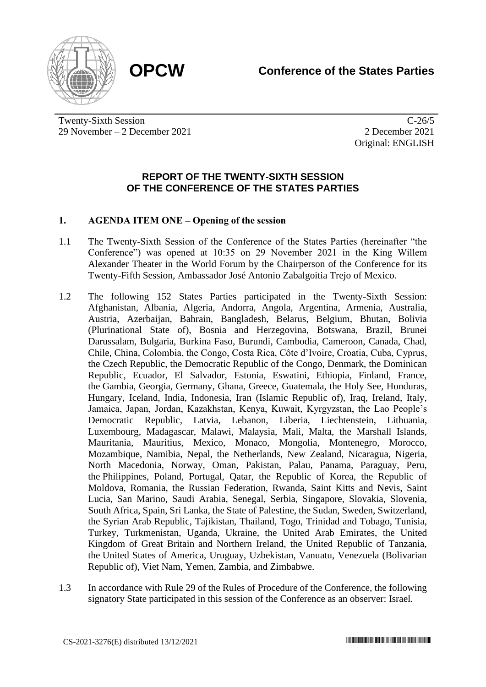



Twenty-Sixth Session 29 November – 2 December 2021

C-26/5 2 December 2021 Original: ENGLISH

## **REPORT OF THE TWENTY-SIXTH SESSION OF THE CONFERENCE OF THE STATES PARTIES**

## **1. AGENDA ITEM ONE – Opening of the session**

- 1.1 The Twenty-Sixth Session of the Conference of the States Parties (hereinafter "the Conference") was opened at 10:35 on 29 November 2021 in the King Willem Alexander Theater in the World Forum by the Chairperson of the Conference for its Twenty-Fifth Session, Ambassador José Antonio Zabalgoitia Trejo of Mexico.
- 1.2 The following 152 States Parties participated in the Twenty-Sixth Session: Afghanistan, Albania, Algeria, Andorra, Angola, Argentina, Armenia, Australia, Austria, Azerbaijan, Bahrain, Bangladesh, Belarus, Belgium, Bhutan, Bolivia (Plurinational State of), Bosnia and Herzegovina, Botswana, Brazil, Brunei Darussalam, Bulgaria, Burkina Faso, Burundi, Cambodia, Cameroon, Canada, Chad, Chile, China, Colombia, the Congo, Costa Rica, Côte d'Ivoire, Croatia, Cuba, Cyprus, the Czech Republic, the Democratic Republic of the Congo, Denmark, the Dominican Republic, Ecuador, El Salvador, Estonia, Eswatini, Ethiopia, Finland, France, the Gambia, Georgia, Germany, Ghana, Greece, Guatemala, the Holy See, Honduras, Hungary, Iceland, India, Indonesia, Iran (Islamic Republic of), Iraq, Ireland, Italy, Jamaica, Japan, Jordan, Kazakhstan, Kenya, Kuwait, Kyrgyzstan, the Lao People's Democratic Republic, Latvia, Lebanon, Liberia, Liechtenstein, Lithuania, Luxembourg, Madagascar, Malawi, Malaysia, Mali, Malta, the Marshall Islands, Mauritania, Mauritius, Mexico, Monaco, Mongolia, Montenegro, Morocco, Mozambique, Namibia, Nepal, the Netherlands, New Zealand, Nicaragua, Nigeria, North Macedonia, Norway, Oman, Pakistan, Palau, Panama, Paraguay, Peru, the Philippines, Poland, Portugal, Qatar, the Republic of Korea, the Republic of Moldova, Romania, the Russian Federation, Rwanda, Saint Kitts and Nevis, Saint Lucia, San Marino, Saudi Arabia, Senegal, Serbia, Singapore, Slovakia, Slovenia, South Africa, Spain, Sri Lanka, the State of Palestine, the Sudan, Sweden, Switzerland, the Syrian Arab Republic, Tajikistan, Thailand, Togo, Trinidad and Tobago, Tunisia, Turkey, Turkmenistan, Uganda, Ukraine, the United Arab Emirates, the United Kingdom of Great Britain and Northern Ireland, the United Republic of Tanzania, the United States of America, Uruguay, Uzbekistan, Vanuatu, Venezuela (Bolivarian Republic of), Viet Nam, Yemen, Zambia, and Zimbabwe.
- 1.3 In accordance with Rule 29 of the Rules of Procedure of the Conference, the following signatory State participated in this session of the Conference as an observer: Israel.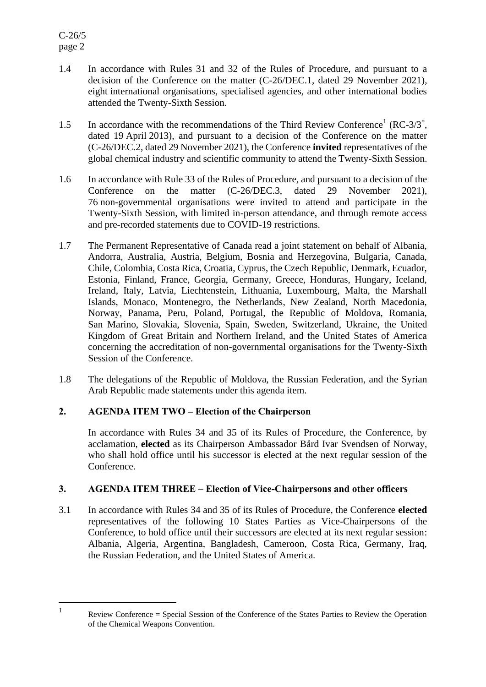- 1.4 In accordance with Rules 31 and 32 of the Rules of Procedure, and pursuant to a decision of the Conference on the matter (C-26/DEC.1, dated 29 November 2021), eight international organisations, specialised agencies, and other international bodies attended the Twenty-Sixth Session.
- 1.5 In accordance with the recommendations of the Third Review Conference<sup>1</sup> (RC-3/3<sup>\*</sup>, dated 19 April 2013), and pursuant to a decision of the Conference on the matter (C-26/DEC.2, dated 29 November 2021), the Conference **invited** representatives of the global chemical industry and scientific community to attend the Twenty-Sixth Session.
- 1.6 In accordance with Rule 33 of the Rules of Procedure, and pursuant to a decision of the Conference on the matter (C-26/DEC.3, dated 29 November 2021), 76 non-governmental organisations were invited to attend and participate in the Twenty-Sixth Session, with limited in-person attendance, and through remote access and pre-recorded statements due to COVID-19 restrictions.
- 1.7 The Permanent Representative of Canada read a joint statement on behalf of Albania, Andorra, Australia, Austria, Belgium, Bosnia and Herzegovina, Bulgaria, Canada, Chile, Colombia, Costa Rica, Croatia, Cyprus, the Czech Republic, Denmark, Ecuador, Estonia, Finland, France, Georgia, Germany, Greece, Honduras, Hungary, Iceland, Ireland, Italy, Latvia, Liechtenstein, Lithuania, Luxembourg, Malta, the Marshall Islands, Monaco, Montenegro, the Netherlands, New Zealand, North Macedonia, Norway, Panama, Peru, Poland, Portugal, the Republic of Moldova, Romania, San Marino, Slovakia, Slovenia, Spain, Sweden, Switzerland, Ukraine, the United Kingdom of Great Britain and Northern Ireland, and the United States of America concerning the accreditation of non-governmental organisations for the Twenty-Sixth Session of the Conference.
- 1.8 The delegations of the Republic of Moldova, the Russian Federation, and the Syrian Arab Republic made statements under this agenda item.

# **2. AGENDA ITEM TWO – Election of the Chairperson**

In accordance with Rules 34 and 35 of its Rules of Procedure, the Conference, by acclamation, **elected** as its Chairperson Ambassador Bård Ivar Svendsen of Norway, who shall hold office until his successor is elected at the next regular session of the Conference.

# **3. AGENDA ITEM THREE – Election of Vice-Chairpersons and other officers**

3.1 In accordance with Rules 34 and 35 of its Rules of Procedure, the Conference **elected** representatives of the following 10 States Parties as Vice-Chairpersons of the Conference, to hold office until their successors are elected at its next regular session: Albania, Algeria, Argentina, Bangladesh, Cameroon, Costa Rica, Germany, Iraq, the Russian Federation, and the United States of America.

<sup>1</sup>

Review Conference = Special Session of the Conference of the States Parties to Review the Operation of the Chemical Weapons Convention.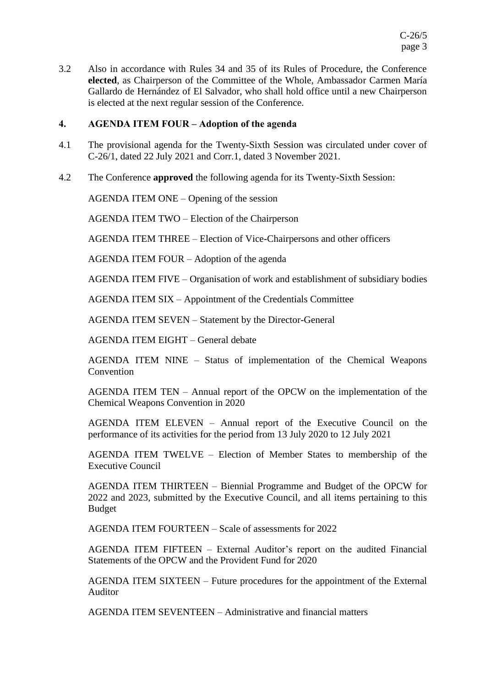3.2 Also in accordance with Rules 34 and 35 of its Rules of Procedure, the Conference **elected**, as Chairperson of the Committee of the Whole, Ambassador Carmen María Gallardo de Hernández of El Salvador, who shall hold office until a new Chairperson is elected at the next regular session of the Conference.

### **4. AGENDA ITEM FOUR – Adoption of the agenda**

- 4.1 The provisional agenda for the Twenty-Sixth Session was circulated under cover of C-26/1, dated 22 July 2021 and Corr.1, dated 3 November 2021.
- 4.2 The Conference **approved** the following agenda for its Twenty-Sixth Session:

AGENDA ITEM ONE – Opening of the session

AGENDA ITEM TWO – Election of the Chairperson

AGENDA ITEM THREE – Election of Vice-Chairpersons and other officers

AGENDA ITEM FOUR – Adoption of the agenda

AGENDA ITEM FIVE – Organisation of work and establishment of subsidiary bodies

AGENDA ITEM SIX – Appointment of the Credentials Committee

AGENDA ITEM SEVEN – Statement by the Director-General

AGENDA ITEM EIGHT – General debate

AGENDA ITEM NINE – Status of implementation of the Chemical Weapons **Convention** 

AGENDA ITEM TEN – Annual report of the OPCW on the implementation of the Chemical Weapons Convention in 2020

AGENDA ITEM ELEVEN – Annual report of the Executive Council on the performance of its activities for the period from 13 July 2020 to 12 July 2021

AGENDA ITEM TWELVE – Election of Member States to membership of the Executive Council

AGENDA ITEM THIRTEEN – Biennial Programme and Budget of the OPCW for 2022 and 2023, submitted by the Executive Council, and all items pertaining to this Budget

AGENDA ITEM FOURTEEN – Scale of assessments for 2022

AGENDA ITEM FIFTEEN – External Auditor's report on the audited Financial Statements of the OPCW and the Provident Fund for 2020

AGENDA ITEM SIXTEEN – Future procedures for the appointment of the External Auditor

AGENDA ITEM SEVENTEEN – Administrative and financial matters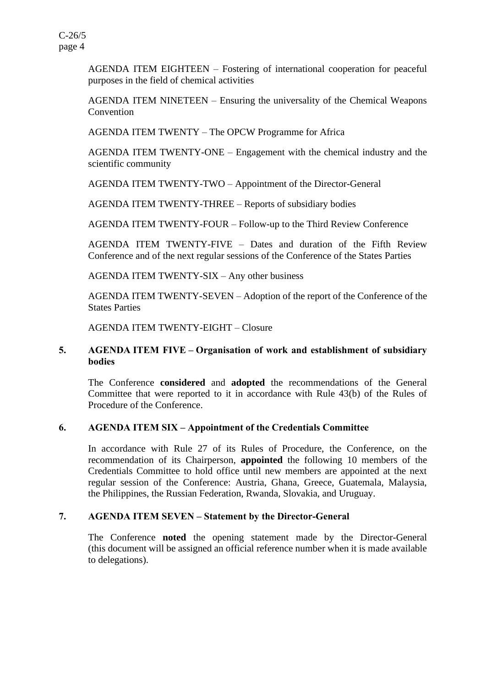AGENDA ITEM EIGHTEEN – Fostering of international cooperation for peaceful purposes in the field of chemical activities

AGENDA ITEM NINETEEN – Ensuring the universality of the Chemical Weapons Convention

AGENDA ITEM TWENTY – The OPCW Programme for Africa

AGENDA ITEM TWENTY-ONE – Engagement with the chemical industry and the scientific community

AGENDA ITEM TWENTY-TWO – Appointment of the Director-General

AGENDA ITEM TWENTY-THREE – Reports of subsidiary bodies

AGENDA ITEM TWENTY-FOUR – Follow-up to the Third Review Conference

AGENDA ITEM TWENTY-FIVE – Dates and duration of the Fifth Review Conference and of the next regular sessions of the Conference of the States Parties

AGENDA ITEM TWENTY-SIX – Any other business

AGENDA ITEM TWENTY-SEVEN – Adoption of the report of the Conference of the States Parties

AGENDA ITEM TWENTY-EIGHT – Closure

## **5. AGENDA ITEM FIVE – Organisation of work and establishment of subsidiary bodies**

The Conference **considered** and **adopted** the recommendations of the General Committee that were reported to it in accordance with Rule 43(b) of the Rules of Procedure of the Conference.

### **6. AGENDA ITEM SIX – Appointment of the Credentials Committee**

In accordance with Rule 27 of its Rules of Procedure, the Conference, on the recommendation of its Chairperson, **appointed** the following 10 members of the Credentials Committee to hold office until new members are appointed at the next regular session of the Conference: Austria, Ghana, Greece, Guatemala, Malaysia, the Philippines, the Russian Federation, Rwanda, Slovakia, and Uruguay.

### **7. AGENDA ITEM SEVEN – Statement by the Director-General**

The Conference **noted** the opening statement made by the Director-General (this document will be assigned an official reference number when it is made available to delegations).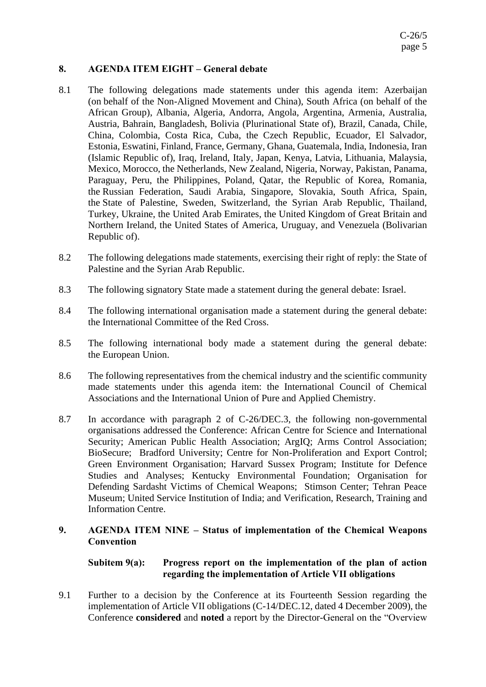# **8. AGENDA ITEM EIGHT – General debate**

- 8.1 The following delegations made statements under this agenda item: Azerbaijan (on behalf of the Non-Aligned Movement and China), South Africa (on behalf of the African Group), Albania, Algeria, Andorra, Angola, Argentina, Armenia, Australia, Austria, Bahrain, Bangladesh, Bolivia (Plurinational State of), Brazil, Canada, Chile, China, Colombia, Costa Rica, Cuba, the Czech Republic, Ecuador, El Salvador, Estonia, Eswatini, Finland, France, Germany, Ghana, Guatemala, India, Indonesia, Iran (Islamic Republic of), Iraq, Ireland, Italy, Japan, Kenya, Latvia, Lithuania, Malaysia, Mexico, Morocco, the Netherlands, New Zealand, Nigeria, Norway, Pakistan, Panama, Paraguay, Peru, the Philippines, Poland, Qatar, the Republic of Korea, Romania, the Russian Federation, Saudi Arabia, Singapore, Slovakia, South Africa, Spain, the State of Palestine, Sweden, Switzerland, the Syrian Arab Republic, Thailand, Turkey, Ukraine, the United Arab Emirates, the United Kingdom of Great Britain and Northern Ireland, the United States of America, Uruguay, and Venezuela (Bolivarian Republic of).
- 8.2 The following delegations made statements, exercising their right of reply: the State of Palestine and the Syrian Arab Republic.
- 8.3 The following signatory State made a statement during the general debate: Israel.
- 8.4 The following international organisation made a statement during the general debate: the International Committee of the Red Cross.
- 8.5 The following international body made a statement during the general debate: the European Union.
- 8.6 The following representatives from the chemical industry and the scientific community made statements under this agenda item: the International Council of Chemical Associations and the International Union of Pure and Applied Chemistry.
- 8.7 In accordance with paragraph 2 of C-26/DEC.3, the following non-governmental organisations addressed the Conference: African Centre for Science and International Security; American Public Health Association; ArgIQ; Arms Control Association; BioSecure; Bradford University; Centre for Non-Proliferation and Export Control; Green Environment Organisation; Harvard Sussex Program; Institute for Defence Studies and Analyses; Kentucky Environmental Foundation; Organisation for Defending Sardasht Victims of Chemical Weapons; Stimson Center; Tehran Peace Museum; United Service Institution of India; and Verification, Research, Training and Information Centre.

# **9. AGENDA ITEM NINE – Status of implementation of the Chemical Weapons Convention**

# **Subitem 9(a): Progress report on the implementation of the plan of action regarding the implementation of Article VII obligations**

9.1 Further to a decision by the Conference at its Fourteenth Session regarding the implementation of Article VII obligations (C-14/DEC.12, dated 4 December 2009), the Conference **considered** and **noted** a report by the Director-General on the "Overview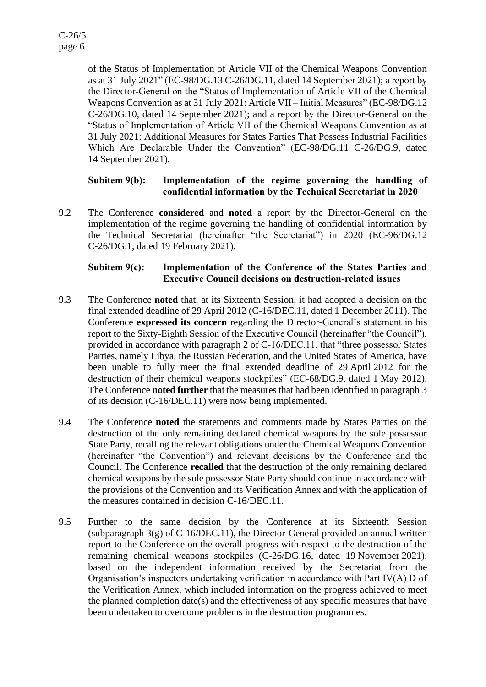of the Status of Implementation of Article VII of the Chemical Weapons Convention as at 31 July 2021" (EC-98/DG.13 C-26/DG.11, dated 14 September 2021); a report by the Director-General on the "Status of Implementation of Article VII of the Chemical Weapons Convention as at 31 July 2021: Article VII – Initial Measures" (EC-98/DG.12 C-26/DG.10, dated 14 September 2021); and a report by the Director-General on the "Status of Implementation of Article VII of the Chemical Weapons Convention as at 31 July 2021: Additional Measures for States Parties That Possess Industrial Facilities Which Are Declarable Under the Convention" (EC-98/DG.11 C-26/DG.9, dated 14 September 2021).

## **Subitem 9(b): Implementation of the regime governing the handling of confidential information by the Technical Secretariat in 2020**

9.2 The Conference **considered** and **noted** a report by the Director-General on the implementation of the regime governing the handling of confidential information by the Technical Secretariat (hereinafter "the Secretariat") in 2020 (EC-96/DG.12 C-26/DG.1, dated 19 February 2021).

# **Subitem 9(c): Implementation of the Conference of the States Parties and Executive Council decisions on destruction-related issues**

- 9.3 The Conference **noted** that, at its Sixteenth Session, it had adopted a decision on the final extended deadline of 29 April 2012 (C-16/DEC.11, dated 1 December 2011). The Conference **expressed its concern** regarding the Director-General's statement in his report to the Sixty-Eighth Session of the Executive Council (hereinafter "the Council"), provided in accordance with paragraph 2 of C-16/DEC.11, that "three possessor States Parties, namely Libya, the Russian Federation, and the United States of America, have been unable to fully meet the final extended deadline of 29 April 2012 for the destruction of their chemical weapons stockpiles" (EC-68/DG.9, dated 1 May 2012). The Conference **noted further** that the measures that had been identified in paragraph 3 of its decision (C-16/DEC.11) were now being implemented.
- 9.4 The Conference **noted** the statements and comments made by States Parties on the destruction of the only remaining declared chemical weapons by the sole possessor State Party, recalling the relevant obligations under the Chemical Weapons Convention (hereinafter "the Convention") and relevant decisions by the Conference and the Council. The Conference **recalled** that the destruction of the only remaining declared chemical weapons by the sole possessor State Party should continue in accordance with the provisions of the Convention and its Verification Annex and with the application of the measures contained in decision C-16/DEC.11.
- 9.5 Further to the same decision by the Conference at its Sixteenth Session (subparagraph  $3(g)$  of C-16/DEC.11), the Director-General provided an annual written report to the Conference on the overall progress with respect to the destruction of the remaining chemical weapons stockpiles (C-26/DG.16, dated 19 November 2021), based on the independent information received by the Secretariat from the Organisation's inspectors undertaking verification in accordance with Part IV(A) D of the Verification Annex, which included information on the progress achieved to meet the planned completion date(s) and the effectiveness of any specific measures that have been undertaken to overcome problems in the destruction programmes.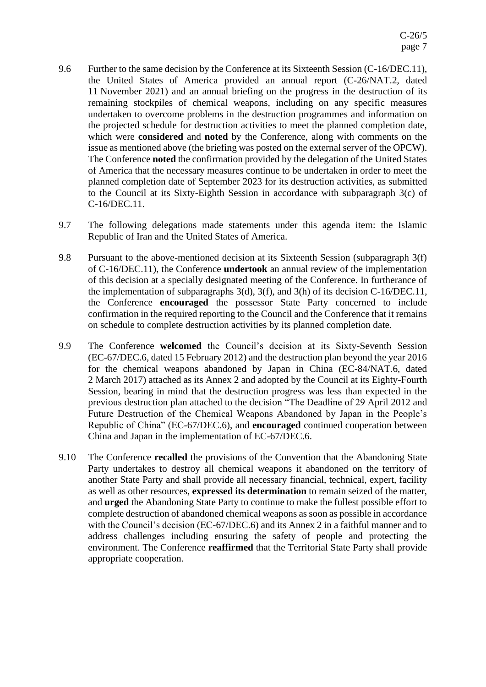- 9.6 Further to the same decision by the Conference at its Sixteenth Session (C-16/DEC.11), the United States of America provided an annual report (C-26/NAT.2, dated 11 November 2021) and an annual briefing on the progress in the destruction of its remaining stockpiles of chemical weapons, including on any specific measures undertaken to overcome problems in the destruction programmes and information on the projected schedule for destruction activities to meet the planned completion date, which were **considered** and **noted** by the Conference, along with comments on the issue as mentioned above (the briefing was posted on the external server of the OPCW). The Conference **noted** the confirmation provided by the delegation of the United States of America that the necessary measures continue to be undertaken in order to meet the planned completion date of September 2023 for its destruction activities, as submitted to the Council at its Sixty-Eighth Session in accordance with subparagraph 3(c) of C-16/DEC.11.
- 9.7 The following delegations made statements under this agenda item: the Islamic Republic of Iran and the United States of America.
- 9.8 Pursuant to the above-mentioned decision at its Sixteenth Session (subparagraph 3(f) of C-16/DEC.11), the Conference **undertook** an annual review of the implementation of this decision at a specially designated meeting of the Conference. In furtherance of the implementation of subparagraphs 3(d), 3(f), and 3(h) of its decision C-16/DEC.11, the Conference **encouraged** the possessor State Party concerned to include confirmation in the required reporting to the Council and the Conference that it remains on schedule to complete destruction activities by its planned completion date.
- 9.9 The Conference **welcomed** the Council's decision at its Sixty-Seventh Session (EC-67/DEC.6, dated 15 February 2012) and the destruction plan beyond the year 2016 for the chemical weapons abandoned by Japan in China (EC-84/NAT.6, dated 2 March 2017) attached as its Annex 2 and adopted by the Council at its Eighty-Fourth Session, bearing in mind that the destruction progress was less than expected in the previous destruction plan attached to the decision "The Deadline of 29 April 2012 and Future Destruction of the Chemical Weapons Abandoned by Japan in the People's Republic of China" (EC-67/DEC.6), and **encouraged** continued cooperation between China and Japan in the implementation of EC-67/DEC.6.
- 9.10 The Conference **recalled** the provisions of the Convention that the Abandoning State Party undertakes to destroy all chemical weapons it abandoned on the territory of another State Party and shall provide all necessary financial, technical, expert, facility as well as other resources, **expressed its determination** to remain seized of the matter, and **urged** the Abandoning State Party to continue to make the fullest possible effort to complete destruction of abandoned chemical weapons as soon as possible in accordance with the Council's decision (EC-67/DEC.6) and its Annex 2 in a faithful manner and to address challenges including ensuring the safety of people and protecting the environment. The Conference **reaffirmed** that the Territorial State Party shall provide appropriate cooperation.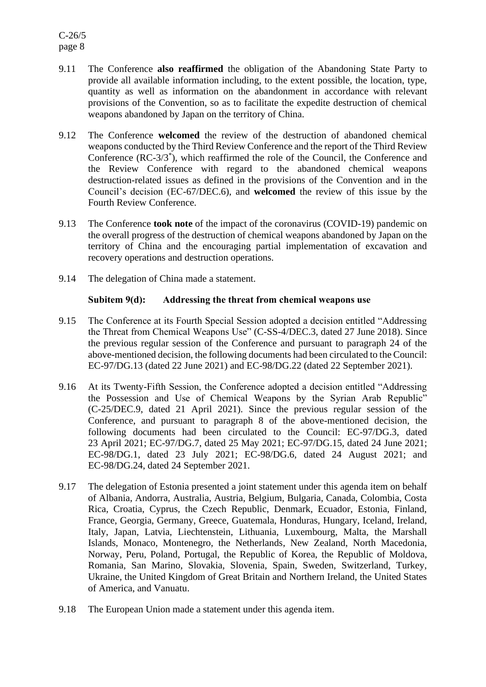- 9.11 The Conference **also reaffirmed** the obligation of the Abandoning State Party to provide all available information including, to the extent possible, the location, type, quantity as well as information on the abandonment in accordance with relevant provisions of the Convention, so as to facilitate the expedite destruction of chemical weapons abandoned by Japan on the territory of China.
- 9.12 The Conference **welcomed** the review of the destruction of abandoned chemical weapons conducted by the Third Review Conference and the report of the Third Review Conference (RC-3/3\* ), which reaffirmed the role of the Council, the Conference and the Review Conference with regard to the abandoned chemical weapons destruction-related issues as defined in the provisions of the Convention and in the Council's decision (EC-67/DEC.6), and **welcomed** the review of this issue by the Fourth Review Conference.
- 9.13 The Conference **took note** of the impact of the coronavirus (COVID-19) pandemic on the overall progress of the destruction of chemical weapons abandoned by Japan on the territory of China and the encouraging partial implementation of excavation and recovery operations and destruction operations.
- 9.14 The delegation of China made a statement.

## **Subitem 9(d): Addressing the threat from chemical weapons use**

- 9.15 The Conference at its Fourth Special Session adopted a decision entitled "Addressing the Threat from Chemical Weapons Use" (C-SS-4/DEC.3, dated 27 June 2018). Since the previous regular session of the Conference and pursuant to paragraph 24 of the above-mentioned decision, the following documents had been circulated to the Council: EC-97/DG.13 (dated 22 June 2021) and EC-98/DG.22 (dated 22 September 2021).
- 9.16 At its Twenty-Fifth Session, the Conference adopted a decision entitled "Addressing the Possession and Use of Chemical Weapons by the Syrian Arab Republic" (C-25/DEC.9, dated 21 April 2021). Since the previous regular session of the Conference, and pursuant to paragraph 8 of the above-mentioned decision, the following documents had been circulated to the Council: EC-97/DG.3, dated 23 April 2021; EC-97/DG.7, dated 25 May 2021; EC-97/DG.15, dated 24 June 2021; EC-98/DG.1, dated 23 July 2021; EC-98/DG.6, dated 24 August 2021; and EC-98/DG.24, dated 24 September 2021.
- 9.17 The delegation of Estonia presented a joint statement under this agenda item on behalf of Albania, Andorra, Australia, Austria, Belgium, Bulgaria, Canada, Colombia, Costa Rica, Croatia, Cyprus, the Czech Republic, Denmark, Ecuador, Estonia, Finland, France, Georgia, Germany, Greece, Guatemala, Honduras, Hungary, Iceland, Ireland, Italy, Japan, Latvia, Liechtenstein, Lithuania, Luxembourg, Malta, the Marshall Islands, Monaco, Montenegro, the Netherlands, New Zealand, North Macedonia, Norway, Peru, Poland, Portugal, the Republic of Korea, the Republic of Moldova, Romania, San Marino, Slovakia, Slovenia, Spain, Sweden, Switzerland, Turkey, Ukraine, the United Kingdom of Great Britain and Northern Ireland, the United States of America, and Vanuatu.
- 9.18 The European Union made a statement under this agenda item.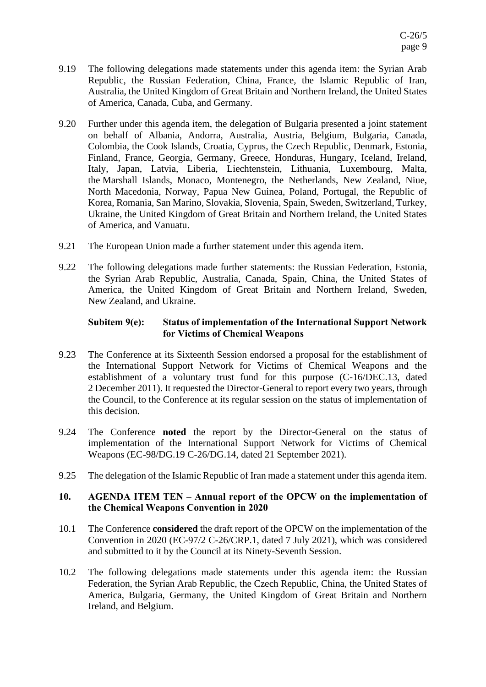- 9.19 The following delegations made statements under this agenda item: the Syrian Arab Republic, the Russian Federation, China, France, the Islamic Republic of Iran, Australia, the United Kingdom of Great Britain and Northern Ireland, the United States of America, Canada, Cuba, and Germany.
- 9.20 Further under this agenda item, the delegation of Bulgaria presented a joint statement on behalf of Albania, Andorra, Australia, Austria, Belgium, Bulgaria, Canada, Colombia, the Cook Islands, Croatia, Cyprus, the Czech Republic, Denmark, Estonia, Finland, France, Georgia, Germany, Greece, Honduras, Hungary, Iceland, Ireland, Italy, Japan, Latvia, Liberia, Liechtenstein, Lithuania, Luxembourg, Malta, the Marshall Islands, Monaco, Montenegro, the Netherlands, New Zealand, Niue, North Macedonia, Norway, Papua New Guinea, Poland, Portugal, the Republic of Korea, Romania, San Marino, Slovakia, Slovenia, Spain, Sweden, Switzerland, Turkey, Ukraine, the United Kingdom of Great Britain and Northern Ireland, the United States of America, and Vanuatu.
- 9.21 The European Union made a further statement under this agenda item.
- 9.22 The following delegations made further statements: the Russian Federation, Estonia, the Syrian Arab Republic, Australia, Canada, Spain, China, the United States of America, the United Kingdom of Great Britain and Northern Ireland, Sweden, New Zealand, and Ukraine.

## **Subitem 9(e): Status of implementation of the International Support Network for Victims of Chemical Weapons**

- 9.23 The Conference at its Sixteenth Session endorsed a proposal for the establishment of the International Support Network for Victims of Chemical Weapons and the establishment of a voluntary trust fund for this purpose (C-16/DEC.13, dated 2 December 2011). It requested the Director-General to report every two years, through the Council, to the Conference at its regular session on the status of implementation of this decision.
- 9.24 The Conference **noted** the report by the Director-General on the status of implementation of the International Support Network for Victims of Chemical Weapons (EC-98/DG.19 C-26/DG.14, dated 21 September 2021).
- 9.25 The delegation of the Islamic Republic of Iran made a statement under this agenda item.

## **10. AGENDA ITEM TEN – Annual report of the OPCW on the implementation of the Chemical Weapons Convention in 2020**

- 10.1 The Conference **considered** the draft report of the OPCW on the implementation of the Convention in 2020 (EC-97/2 C-26/CRP.1, dated 7 July 2021), which was considered and submitted to it by the Council at its Ninety-Seventh Session.
- 10.2 The following delegations made statements under this agenda item: the Russian Federation, the Syrian Arab Republic, the Czech Republic, China, the United States of America, Bulgaria, Germany, the United Kingdom of Great Britain and Northern Ireland, and Belgium.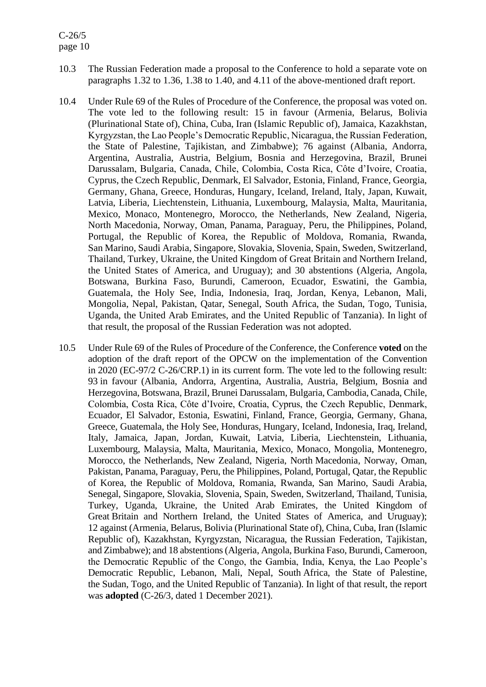# C-26/5 page 10

- 10.3 The Russian Federation made a proposal to the Conference to hold a separate vote on paragraphs 1.32 to 1.36, 1.38 to 1.40, and 4.11 of the above-mentioned draft report.
- 10.4 Under Rule 69 of the Rules of Procedure of the Conference, the proposal was voted on. The vote led to the following result: 15 in favour (Armenia, Belarus, Bolivia (Plurinational State of), China, Cuba, Iran (Islamic Republic of), Jamaica, Kazakhstan, Kyrgyzstan, the Lao People's Democratic Republic, Nicaragua, the Russian Federation, the State of Palestine, Tajikistan, and Zimbabwe); 76 against (Albania, Andorra, Argentina, Australia, Austria, Belgium, Bosnia and Herzegovina, Brazil, Brunei Darussalam, Bulgaria, Canada, Chile, Colombia, Costa Rica, Côte d'Ivoire, Croatia, Cyprus, the Czech Republic, Denmark, El Salvador, Estonia, Finland, France, Georgia, Germany, Ghana, Greece, Honduras, Hungary, Iceland, Ireland, Italy, Japan, Kuwait, Latvia, Liberia, Liechtenstein, Lithuania, Luxembourg, Malaysia, Malta, Mauritania, Mexico, Monaco, Montenegro, Morocco, the Netherlands, New Zealand, Nigeria, North Macedonia, Norway, Oman, Panama, Paraguay, Peru, the Philippines, Poland, Portugal, the Republic of Korea, the Republic of Moldova, Romania, Rwanda, San Marino, Saudi Arabia, Singapore, Slovakia, Slovenia, Spain, Sweden, Switzerland, Thailand, Turkey, Ukraine, the United Kingdom of Great Britain and Northern Ireland, the United States of America, and Uruguay); and 30 abstentions (Algeria, Angola, Botswana, Burkina Faso, Burundi, Cameroon, Ecuador, Eswatini, the Gambia, Guatemala, the Holy See, India, Indonesia, Iraq, Jordan, Kenya, Lebanon, Mali, Mongolia, Nepal, Pakistan, Qatar, Senegal, South Africa, the Sudan, Togo, Tunisia, Uganda, the United Arab Emirates, and the United Republic of Tanzania). In light of that result, the proposal of the Russian Federation was not adopted.
- 10.5 Under Rule 69 of the Rules of Procedure of the Conference, the Conference **voted** on the adoption of the draft report of the OPCW on the implementation of the Convention in 2020 (EC-97/2 C-26/CRP.1) in its current form. The vote led to the following result: 93 in favour (Albania, Andorra, Argentina, Australia, Austria, Belgium, Bosnia and Herzegovina, Botswana, Brazil, Brunei Darussalam, Bulgaria, Cambodia, Canada, Chile, Colombia, Costa Rica, Côte d'Ivoire, Croatia, Cyprus, the Czech Republic, Denmark, Ecuador, El Salvador, Estonia, Eswatini, Finland, France, Georgia, Germany, Ghana, Greece, Guatemala, the Holy See, Honduras, Hungary, Iceland, Indonesia, Iraq, Ireland, Italy, Jamaica, Japan, Jordan, Kuwait, Latvia, Liberia, Liechtenstein, Lithuania, Luxembourg, Malaysia, Malta, Mauritania, Mexico, Monaco, Mongolia, Montenegro, Morocco, the Netherlands, New Zealand, Nigeria, North Macedonia, Norway, Oman, Pakistan, Panama, Paraguay, Peru, the Philippines, Poland, Portugal, Qatar, the Republic of Korea, the Republic of Moldova, Romania, Rwanda, San Marino, Saudi Arabia, Senegal, Singapore, Slovakia, Slovenia, Spain, Sweden, Switzerland, Thailand, Tunisia, Turkey, Uganda, Ukraine, the United Arab Emirates, the United Kingdom of Great Britain and Northern Ireland, the United States of America, and Uruguay); 12 against (Armenia, Belarus, Bolivia (Plurinational State of), China, Cuba, Iran (Islamic Republic of), Kazakhstan, Kyrgyzstan, Nicaragua, the Russian Federation, Tajikistan, and Zimbabwe); and 18 abstentions (Algeria, Angola, Burkina Faso, Burundi, Cameroon, the Democratic Republic of the Congo, the Gambia, India, Kenya, the Lao People's Democratic Republic, Lebanon, Mali, Nepal, South Africa, the State of Palestine, the Sudan, Togo, and the United Republic of Tanzania). In light of that result, the report was **adopted** (C-26/3, dated 1 December 2021).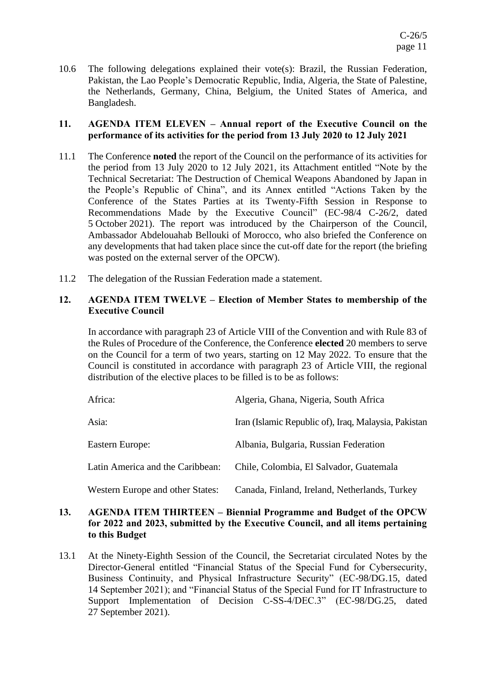10.6 The following delegations explained their vote(s): Brazil, the Russian Federation, Pakistan, the Lao People's Democratic Republic, India, Algeria, the State of Palestine, the Netherlands, Germany, China, Belgium, the United States of America, and Bangladesh.

## **11. AGENDA ITEM ELEVEN – Annual report of the Executive Council on the performance of its activities for the period from 13 July 2020 to 12 July 2021**

- 11.1 The Conference **noted** the report of the Council on the performance of its activities for the period from 13 July 2020 to 12 July 2021, its Attachment entitled "Note by the Technical Secretariat: The Destruction of Chemical Weapons Abandoned by Japan in the People's Republic of China", and its Annex entitled "Actions Taken by the Conference of the States Parties at its Twenty-Fifth Session in Response to Recommendations Made by the Executive Council" (EC-98/4 C-26/2, dated 5 October 2021). The report was introduced by the Chairperson of the Council, Ambassador Abdelouahab Bellouki of Morocco, who also briefed the Conference on any developments that had taken place since the cut-off date for the report (the briefing was posted on the external server of the OPCW).
- 11.2 The delegation of the Russian Federation made a statement.

# **12. AGENDA ITEM TWELVE – Election of Member States to membership of the Executive Council**

In accordance with paragraph 23 of Article VIII of the Convention and with Rule 83 of the Rules of Procedure of the Conference, the Conference **elected** 20 members to serve on the Council for a term of two years, starting on 12 May 2022. To ensure that the Council is constituted in accordance with paragraph 23 of Article VIII, the regional distribution of the elective places to be filled is to be as follows:

| Africa:                                 | Algeria, Ghana, Nigeria, South Africa                |
|-----------------------------------------|------------------------------------------------------|
| Asia:                                   | Iran (Islamic Republic of), Iraq, Malaysia, Pakistan |
| Eastern Europe:                         | Albania, Bulgaria, Russian Federation                |
| Latin America and the Caribbean:        | Chile, Colombia, El Salvador, Guatemala              |
| <b>Western Europe and other States:</b> | Canada, Finland, Ireland, Netherlands, Turkey        |

### **13. AGENDA ITEM THIRTEEN – Biennial Programme and Budget of the OPCW for 2022 and 2023, submitted by the Executive Council, and all items pertaining to this Budget**

13.1 At the Ninety-Eighth Session of the Council, the Secretariat circulated Notes by the Director-General entitled "Financial Status of the Special Fund for Cybersecurity, Business Continuity, and Physical Infrastructure Security" (EC-98/DG.15, dated 14 September 2021); and "Financial Status of the Special Fund for IT Infrastructure to Support Implementation of Decision C-SS-4/DEC.3" (EC-98/DG.25, dated 27 September 2021).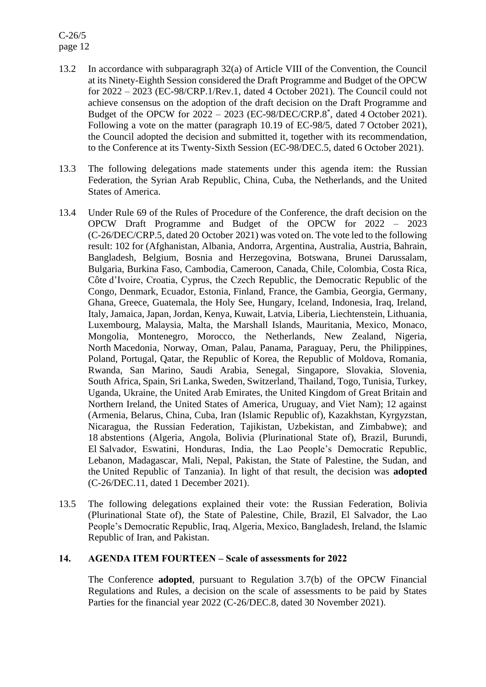C-26/5 page 12

- 13.2 In accordance with subparagraph 32(a) of Article VIII of the Convention, the Council at its Ninety-Eighth Session considered the Draft Programme and Budget of the OPCW for 2022 – 2023 (EC-98/CRP.1/Rev.1, dated 4 October 2021). The Council could not achieve consensus on the adoption of the draft decision on the Draft Programme and Budget of the OPCW for  $2022 - 2023$  (EC-98/DEC/CRP.8<sup>\*</sup>, dated 4 October 2021). Following a vote on the matter (paragraph 10.19 of EC-98/5, dated 7 October 2021), the Council adopted the decision and submitted it, together with its recommendation, to the Conference at its Twenty-Sixth Session (EC-98/DEC.5, dated 6 October 2021).
- 13.3 The following delegations made statements under this agenda item: the Russian Federation, the Syrian Arab Republic, China, Cuba, the Netherlands, and the United States of America.
- 13.4 Under Rule 69 of the Rules of Procedure of the Conference, the draft decision on the OPCW Draft Programme and Budget of the OPCW for 2022 – 2023 (C-26/DEC/CRP.5, dated 20 October 2021) was voted on. The vote led to the following result: 102 for (Afghanistan, Albania, Andorra, Argentina, Australia, Austria, Bahrain, Bangladesh, Belgium, Bosnia and Herzegovina, Botswana, Brunei Darussalam, Bulgaria, Burkina Faso, Cambodia, Cameroon, Canada, Chile, Colombia, Costa Rica, Côte d'Ivoire, Croatia, Cyprus, the Czech Republic, the Democratic Republic of the Congo, Denmark, Ecuador, Estonia, Finland, France, the Gambia, Georgia, Germany, Ghana, Greece, Guatemala, the Holy See, Hungary, Iceland, Indonesia, Iraq, Ireland, Italy, Jamaica, Japan, Jordan, Kenya, Kuwait, Latvia, Liberia, Liechtenstein, Lithuania, Luxembourg, Malaysia, Malta, the Marshall Islands, Mauritania, Mexico, Monaco, Mongolia, Montenegro, Morocco, the Netherlands, New Zealand, Nigeria, North Macedonia, Norway, Oman, Palau, Panama, Paraguay, Peru, the Philippines, Poland, Portugal, Qatar, the Republic of Korea, the Republic of Moldova, Romania, Rwanda, San Marino, Saudi Arabia, Senegal, Singapore, Slovakia, Slovenia, South Africa, Spain, Sri Lanka, Sweden, Switzerland, Thailand, Togo, Tunisia, Turkey, Uganda, Ukraine, the United Arab Emirates, the United Kingdom of Great Britain and Northern Ireland, the United States of America, Uruguay, and Viet Nam); 12 against (Armenia, Belarus, China, Cuba, Iran (Islamic Republic of), Kazakhstan, Kyrgyzstan, Nicaragua, the Russian Federation, Tajikistan, Uzbekistan, and Zimbabwe); and 18 abstentions (Algeria, Angola, Bolivia (Plurinational State of), Brazil, Burundi, El Salvador, Eswatini, Honduras, India, the Lao People's Democratic Republic, Lebanon, Madagascar, Mali, Nepal, Pakistan, the State of Palestine, the Sudan, and the United Republic of Tanzania). In light of that result, the decision was **adopted** (C-26/DEC.11, dated 1 December 2021).
- 13.5 The following delegations explained their vote: the Russian Federation, Bolivia (Plurinational State of), the State of Palestine, Chile, Brazil, El Salvador, the Lao People's Democratic Republic, Iraq, Algeria, Mexico, Bangladesh, Ireland, the Islamic Republic of Iran, and Pakistan.

# **14. AGENDA ITEM FOURTEEN – Scale of assessments for 2022**

The Conference **adopted**, pursuant to Regulation 3.7(b) of the OPCW Financial Regulations and Rules, a decision on the scale of assessments to be paid by States Parties for the financial year 2022 (C-26/DEC.8, dated 30 November 2021).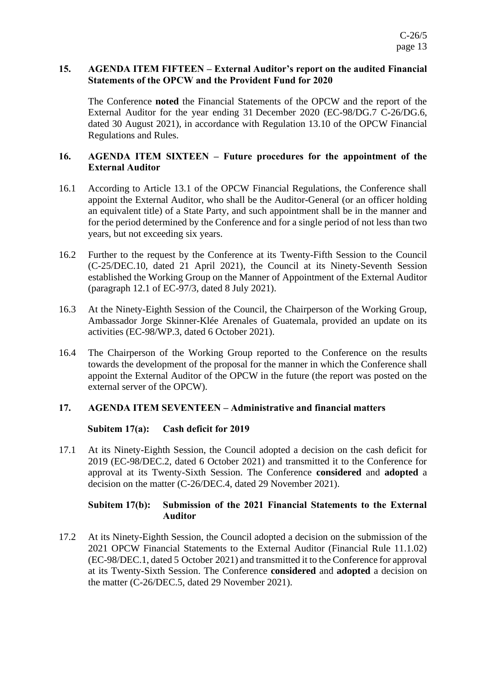## **15. AGENDA ITEM FIFTEEN – External Auditor's report on the audited Financial Statements of the OPCW and the Provident Fund for 2020**

The Conference **noted** the Financial Statements of the OPCW and the report of the External Auditor for the year ending 31 December 2020 (EC-98/DG.7 C-26/DG.6, dated 30 August 2021), in accordance with Regulation 13.10 of the OPCW Financial Regulations and Rules.

## **16. AGENDA ITEM SIXTEEN – Future procedures for the appointment of the External Auditor**

- 16.1 According to Article 13.1 of the OPCW Financial Regulations, the Conference shall appoint the External Auditor, who shall be the Auditor-General (or an officer holding an equivalent title) of a State Party, and such appointment shall be in the manner and for the period determined by the Conference and for a single period of not less than two years, but not exceeding six years.
- 16.2 Further to the request by the Conference at its Twenty-Fifth Session to the Council (C-25/DEC.10, dated 21 April 2021), the Council at its Ninety-Seventh Session established the Working Group on the Manner of Appointment of the External Auditor (paragraph 12.1 of EC-97/3, dated 8 July 2021).
- 16.3 At the Ninety-Eighth Session of the Council, the Chairperson of the Working Group, Ambassador Jorge Skinner-Klée Arenales of Guatemala, provided an update on its activities (EC-98/WP.3, dated 6 October 2021).
- 16.4 The Chairperson of the Working Group reported to the Conference on the results towards the development of the proposal for the manner in which the Conference shall appoint the External Auditor of the OPCW in the future (the report was posted on the external server of the OPCW).

# **17. AGENDA ITEM SEVENTEEN – Administrative and financial matters**

# **Subitem 17(a): Cash deficit for 2019**

17.1 At its Ninety-Eighth Session, the Council adopted a decision on the cash deficit for 2019 (EC-98/DEC.2, dated 6 October 2021) and transmitted it to the Conference for approval at its Twenty-Sixth Session. The Conference **considered** and **adopted** a decision on the matter (C-26/DEC.4, dated 29 November 2021).

# **Subitem 17(b): Submission of the 2021 Financial Statements to the External Auditor**

17.2 At its Ninety-Eighth Session, the Council adopted a decision on the submission of the 2021 OPCW Financial Statements to the External Auditor (Financial Rule 11.1.02) (EC-98/DEC.1, dated 5 October 2021) and transmitted it to the Conference for approval at its Twenty-Sixth Session. The Conference **considered** and **adopted** a decision on the matter (C-26/DEC.5, dated 29 November 2021).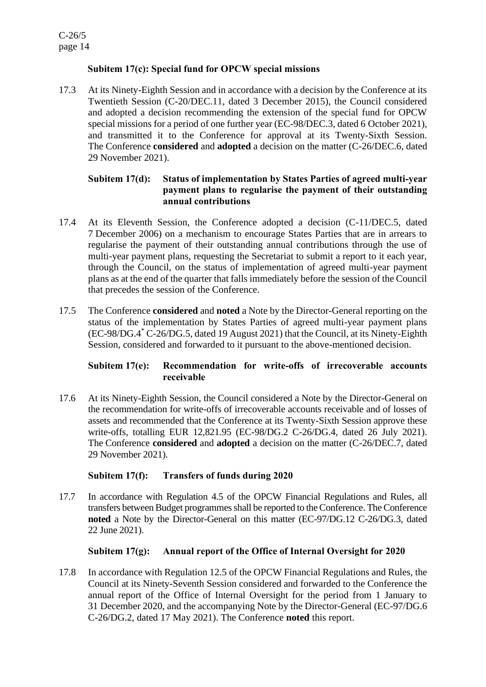# **Subitem 17(c): Special fund for OPCW special missions**

17.3 At its Ninety-Eighth Session and in accordance with a decision by the Conference at its Twentieth Session (C-20/DEC.11, dated 3 December 2015), the Council considered and adopted a decision recommending the extension of the special fund for OPCW special missions for a period of one further year (EC-98/DEC.3, dated 6 October 2021), and transmitted it to the Conference for approval at its Twenty-Sixth Session. The Conference **considered** and **adopted** a decision on the matter (C-26/DEC.6, dated 29 November 2021).

# **Subitem 17(d): Status of implementation by States Parties of agreed multi-year payment plans to regularise the payment of their outstanding annual contributions**

- 17.4 At its Eleventh Session, the Conference adopted a decision (C-11/DEC.5, dated 7 December 2006) on a mechanism to encourage States Parties that are in arrears to regularise the payment of their outstanding annual contributions through the use of multi-year payment plans, requesting the Secretariat to submit a report to it each year, through the Council, on the status of implementation of agreed multi-year payment plans as at the end of the quarter that falls immediately before the session of the Council that precedes the session of the Conference.
- 17.5 The Conference **considered** and **noted** a Note by the Director-General reporting on the status of the implementation by States Parties of agreed multi-year payment plans (EC-98/DG.4 \* C-26/DG.5, dated 19 August 2021) that the Council, at its Ninety-Eighth Session, considered and forwarded to it pursuant to the above-mentioned decision.

# **Subitem 17(e): Recommendation for write-offs of irrecoverable accounts receivable**

17.6 At its Ninety-Eighth Session, the Council considered a Note by the Director-General on the recommendation for write-offs of irrecoverable accounts receivable and of losses of assets and recommended that the Conference at its Twenty-Sixth Session approve these write-offs, totalling EUR 12,821.95 (EC-98/DG.2 C-26/DG.4, dated 26 July 2021). The Conference **considered** and **adopted** a decision on the matter (C-26/DEC.7, dated 29 November 2021).

# **Subitem 17(f): Transfers of funds during 2020**

17.7 In accordance with Regulation 4.5 of the OPCW Financial Regulations and Rules, all transfers between Budget programmes shall be reported to the Conference. The Conference **noted** a Note by the Director-General on this matter (EC-97/DG.12 C-26/DG.3, dated 22 June 2021).

# **Subitem 17(g): Annual report of the Office of Internal Oversight for 2020**

17.8 In accordance with Regulation 12.5 of the OPCW Financial Regulations and Rules, the Council at its Ninety-Seventh Session considered and forwarded to the Conference the annual report of the Office of Internal Oversight for the period from 1 January to 31 December 2020, and the accompanying Note by the Director-General (EC-97/DG.6 C-26/DG.2, dated 17 May 2021). The Conference **noted** this report.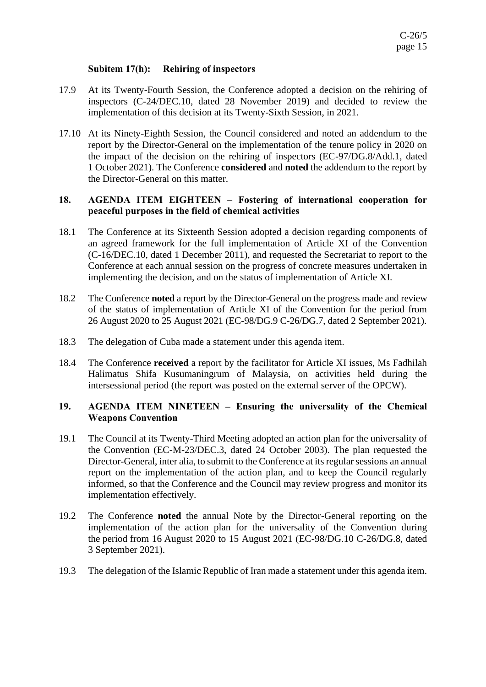## **Subitem 17(h): Rehiring of inspectors**

- 17.9 At its Twenty-Fourth Session, the Conference adopted a decision on the rehiring of inspectors (C-24/DEC.10, dated 28 November 2019) and decided to review the implementation of this decision at its Twenty-Sixth Session, in 2021.
- 17.10 At its Ninety-Eighth Session, the Council considered and noted an addendum to the report by the Director-General on the implementation of the tenure policy in 2020 on the impact of the decision on the rehiring of inspectors (EC-97/DG.8/Add.1, dated 1 October 2021). The Conference **considered** and **noted** the addendum to the report by the Director-General on this matter.

## **18. AGENDA ITEM EIGHTEEN – Fostering of international cooperation for peaceful purposes in the field of chemical activities**

- 18.1 The Conference at its Sixteenth Session adopted a decision regarding components of an agreed framework for the full implementation of Article XI of the Convention (C-16/DEC.10, dated 1 December 2011), and requested the Secretariat to report to the Conference at each annual session on the progress of concrete measures undertaken in implementing the decision, and on the status of implementation of Article XI.
- 18.2 The Conference **noted** a report by the Director-General on the progress made and review of the status of implementation of Article XI of the Convention for the period from 26 August 2020 to 25 August 2021 (EC-98/DG.9 C-26/DG.7, dated 2 September 2021).
- 18.3 The delegation of Cuba made a statement under this agenda item.
- 18.4 The Conference **received** a report by the facilitator for Article XI issues, Ms Fadhilah Halimatus Shifa Kusumaningrum of Malaysia, on activities held during the intersessional period (the report was posted on the external server of the OPCW).

## **19. AGENDA ITEM NINETEEN – Ensuring the universality of the Chemical Weapons Convention**

- 19.1 The Council at its Twenty-Third Meeting adopted an action plan for the universality of the Convention (EC-M-23/DEC.3, dated 24 October 2003). The plan requested the Director-General, inter alia, to submit to the Conference at its regular sessions an annual report on the implementation of the action plan, and to keep the Council regularly informed, so that the Conference and the Council may review progress and monitor its implementation effectively.
- 19.2 The Conference **noted** the annual Note by the Director-General reporting on the implementation of the action plan for the universality of the Convention during the period from 16 August 2020 to 15 August 2021 (EC-98/DG.10 C-26/DG.8, dated 3 September 2021).
- 19.3 The delegation of the Islamic Republic of Iran made a statement under this agenda item.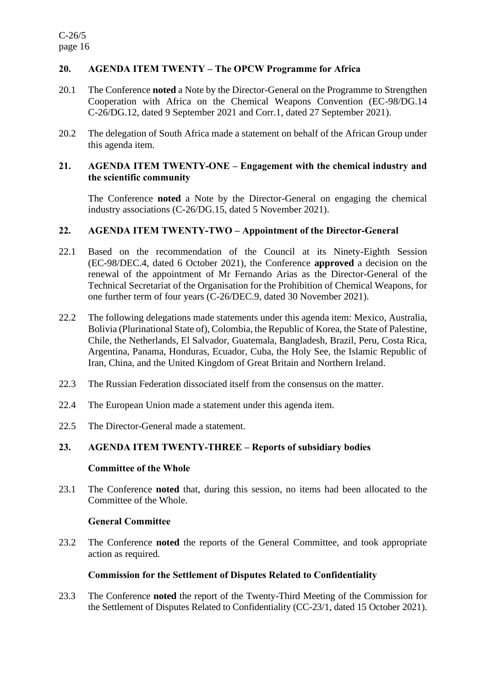# **20. AGENDA ITEM TWENTY – The OPCW Programme for Africa**

- 20.1 The Conference **noted** a Note by the Director-General on the Programme to Strengthen Cooperation with Africa on the Chemical Weapons Convention (EC-98/DG.14 C-26/DG.12, dated 9 September 2021 and Corr.1, dated 27 September 2021).
- 20.2 The delegation of South Africa made a statement on behalf of the African Group under this agenda item.

### **21. AGENDA ITEM TWENTY-ONE – Engagement with the chemical industry and the scientific community**

The Conference **noted** a Note by the Director-General on engaging the chemical industry associations (C-26/DG.15, dated 5 November 2021).

### **22. AGENDA ITEM TWENTY-TWO – Appointment of the Director-General**

- 22.1 Based on the recommendation of the Council at its Ninety-Eighth Session (EC-98/DEC.4, dated 6 October 2021), the Conference **approved** a decision on the renewal of the appointment of Mr Fernando Arias as the Director-General of the Technical Secretariat of the Organisation for the Prohibition of Chemical Weapons, for one further term of four years (C-26/DEC.9, dated 30 November 2021).
- 22.2 The following delegations made statements under this agenda item: Mexico, Australia, Bolivia (Plurinational State of), Colombia, the Republic of Korea, the State of Palestine, Chile, the Netherlands, El Salvador, Guatemala, Bangladesh, Brazil, Peru, Costa Rica, Argentina, Panama, Honduras, Ecuador, Cuba, the Holy See, the Islamic Republic of Iran, China, and the United Kingdom of Great Britain and Northern Ireland.
- 22.3 The Russian Federation dissociated itself from the consensus on the matter.
- 22.4 The European Union made a statement under this agenda item.
- 22.5 The Director-General made a statement.

# **23. AGENDA ITEM TWENTY-THREE – Reports of subsidiary bodies**

### **Committee of the Whole**

23.1 The Conference **noted** that, during this session, no items had been allocated to the Committee of the Whole.

### **General Committee**

23.2 The Conference **noted** the reports of the General Committee, and took appropriate action as required.

### **Commission for the Settlement of Disputes Related to Confidentiality**

23.3 The Conference **noted** the report of the Twenty-Third Meeting of the Commission for the Settlement of Disputes Related to Confidentiality (CC-23/1, dated 15 October 2021).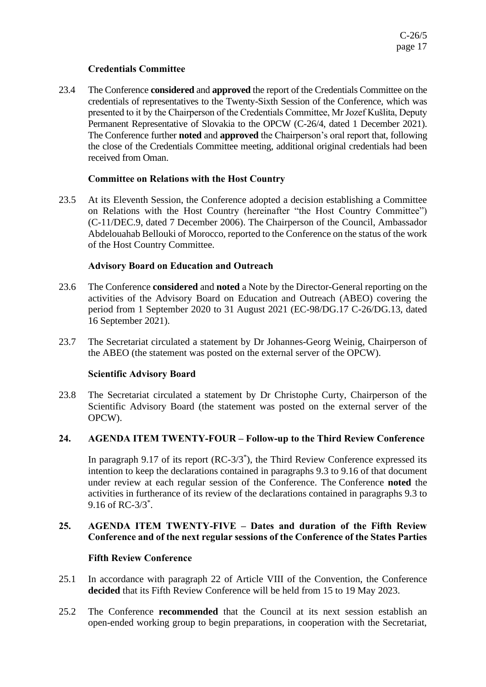# **Credentials Committee**

23.4 The Conference **considered** and **approved** the report of the Credentials Committee on the credentials of representatives to the Twenty-Sixth Session of the Conference, which was presented to it by the Chairperson of the Credentials Committee, Mr Jozef Kušlita, Deputy Permanent Representative of Slovakia to the OPCW (C-26/4, dated 1 December 2021). The Conference further **noted** and **approved** the Chairperson's oral report that, following the close of the Credentials Committee meeting, additional original credentials had been received from Oman.

# **Committee on Relations with the Host Country**

23.5 At its Eleventh Session, the Conference adopted a decision establishing a Committee on Relations with the Host Country (hereinafter "the Host Country Committee") (C-11/DEC.9, dated 7 December 2006). The Chairperson of the Council, Ambassador Abdelouahab Bellouki of Morocco, reported to the Conference on the status of the work of the Host Country Committee.

## **Advisory Board on Education and Outreach**

- 23.6 The Conference **considered** and **noted** a Note by the Director-General reporting on the activities of the Advisory Board on Education and Outreach (ABEO) covering the period from 1 September 2020 to 31 August 2021 (EC-98/DG.17 C-26/DG.13, dated 16 September 2021).
- 23.7 The Secretariat circulated a statement by Dr Johannes-Georg Weinig, Chairperson of the ABEO (the statement was posted on the external server of the OPCW).

### **Scientific Advisory Board**

23.8 The Secretariat circulated a statement by Dr Christophe Curty, Chairperson of the Scientific Advisory Board (the statement was posted on the external server of the OPCW).

# **24. AGENDA ITEM TWENTY-FOUR – Follow-up to the Third Review Conference**

In paragraph 9.17 of its report (RC-3/3\* ), the Third Review Conference expressed its intention to keep the declarations contained in paragraphs 9.3 to 9.16 of that document under review at each regular session of the Conference. The Conference **noted** the activities in furtherance of its review of the declarations contained in paragraphs 9.3 to 9.16 of RC-3/3\* .

## **25. AGENDA ITEM TWENTY-FIVE – Dates and duration of the Fifth Review Conference and of the next regular sessions of the Conference of the States Parties**

### **Fifth Review Conference**

- 25.1 In accordance with paragraph 22 of Article VIII of the Convention, the Conference **decided** that its Fifth Review Conference will be held from 15 to 19 May 2023.
- 25.2 The Conference **recommended** that the Council at its next session establish an open-ended working group to begin preparations, in cooperation with the Secretariat,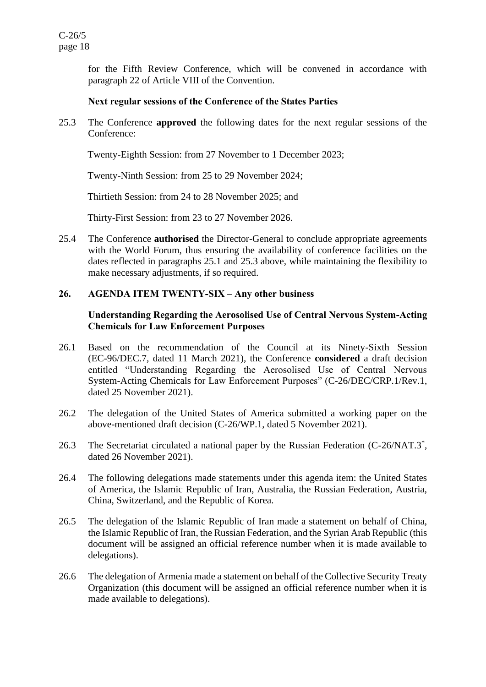for the Fifth Review Conference, which will be convened in accordance with paragraph 22 of Article VIII of the Convention.

### **Next regular sessions of the Conference of the States Parties**

25.3 The Conference **approved** the following dates for the next regular sessions of the Conference:

Twenty-Eighth Session: from 27 November to 1 December 2023;

Twenty-Ninth Session: from 25 to 29 November 2024;

Thirtieth Session: from 24 to 28 November 2025; and

Thirty-First Session: from 23 to 27 November 2026.

25.4 The Conference **authorised** the Director-General to conclude appropriate agreements with the World Forum, thus ensuring the availability of conference facilities on the dates reflected in paragraphs 25.1 and 25.3 above, while maintaining the flexibility to make necessary adjustments, if so required.

## **26. AGENDA ITEM TWENTY-SIX – Any other business**

## **Understanding Regarding the Aerosolised Use of Central Nervous System-Acting Chemicals for Law Enforcement Purposes**

- 26.1 Based on the recommendation of the Council at its Ninety-Sixth Session (EC-96/DEC.7, dated 11 March 2021), the Conference **considered** a draft decision entitled "Understanding Regarding the Aerosolised Use of Central Nervous System-Acting Chemicals for Law Enforcement Purposes" (C-26/DEC/CRP.1/Rev.1, dated 25 November 2021).
- 26.2 The delegation of the United States of America submitted a working paper on the above-mentioned draft decision (C-26/WP.1, dated 5 November 2021).
- 26.3 The Secretariat circulated a national paper by the Russian Federation (C-26/NAT.3<sup>\*</sup>, dated 26 November 2021).
- 26.4 The following delegations made statements under this agenda item: the United States of America, the Islamic Republic of Iran, Australia, the Russian Federation, Austria, China, Switzerland, and the Republic of Korea.
- 26.5 The delegation of the Islamic Republic of Iran made a statement on behalf of China, the Islamic Republic of Iran, the Russian Federation, and the Syrian Arab Republic (this document will be assigned an official reference number when it is made available to delegations).
- 26.6 The delegation of Armenia made a statement on behalf of the Collective Security Treaty Organization (this document will be assigned an official reference number when it is made available to delegations).